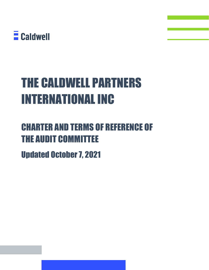

# THE CALDWELL PARTNERS INTERNATIONAL INC

# CHARTER AND TERMS OF REFERENCE OF THE AUDIT COMMITTEE

Updated October 7, 2021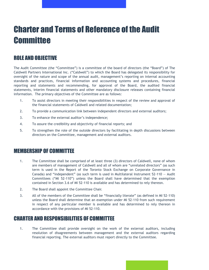# Charter and Terms of Reference of the Audit **Committee**

### ROLE AND OBJECTIVE

The Audit Committee (the "Committee") is a committee of the board of directors (the "Board") of The Caldwell Partners International Inc. ("Caldwell") to which the Board has delegated its responsibility for oversight of the nature and scope of the annual audit, management's reporting on internal accounting standards and practices, financial information and accounting systems and procedures, financial reporting and statements and recommending, for approval of the Board, the audited financial statements, interim financial statements and other mandatory disclosure releases containing financial information. The primary objectives of the Committee are as follows:

- 1. To assist directors in meeting their responsibilities in respect of the review and approval of the financial statements of Caldwell and related documentation;
- 2. To provide a communication link between independent directors and external auditors;
- 3. To enhance the external auditor's independence;
- 4. To assure the credibility and objectivity of financial reports; and
- 5. To strengthen the role of the outside directors by facilitating in depth discussions between directors on the Committee, management and external auditors.

#### MEMBERSHIP OF COMMITTEE

- 1. The Committee shall be comprised of at least three (3) directors of Caldwell, none of whom are members of management of Caldwell and all of whom are "unrelated directors" (as such term is used in the Report of the Toronto Stock Exchange on Corporate Governance in Canada) and "independent" (as such term is used in Multilateral Instrument 52-110 — Audit Committees ("MI 52-110") unless the Board shall have determined that the exemption contained in Section 3.6 of MI 52-110 is available and has determined to rely thereon.
- 2. The Board shall appoint the Committee Chair.
- 3. All of the members of the Committee shall be "financially literate" (as defined in MI 52-110) unless the Board shall determine that an exemption under MI 52-110 from such requirement in respect of any particular member is available and has determined to rely thereon in accordance with the provisions of MI 52-110.

#### CHARTER AND RESPONSIBILITIES OF COMMITTEE

1. The Committee shall provide oversight on the work of the external auditors, including resolution of disagreements between management and the external auditors regarding financial reporting. The external auditors must report directly to the Committee.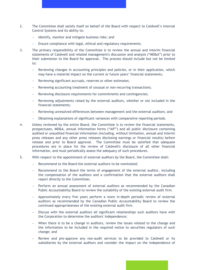- 2. The Committee shall satisfy itself on behalf of the Board with respect to Caldwell's Internal Control Systems and its ability to:
	- − Identify, monitor and mitigate business risks; and
	- − Ensure compliance with legal, ethical and regulatory requirements.
- 3. The primary responsibility of the Committee is to review the annual and interim financial statements of Caldwell and related management's discussion and analysis ("MD&A") prior to their submission to the Board for approval. The process should include but not be limited to:
	- − Reviewing changes in accounting principles and policies, or in their application, which may have a material impact on the current or future years' financial statements;
	- Reviewing significant accruals, reserves or other estimates;
	- Reviewing accounting treatment of unusual or non-recurring transactions;
	- Reviewing disclosure requirements for commitments and contingencies;
	- Reviewing adjustments raised by the external auditors, whether or not included in the financial statements;
	- Reviewing unresolved differences between management and the external auditors; and
	- − Obtaining explanations of significant variances with comparative reporting periods.
- 4. Unless reviewed by the entire Board, the Committee is to review the financial statements, prospectuses, MD&A, annual information forms ("AIF") and all public disclosure containing audited or unaudited financial information (including, without limitation, annual and interim press releases and any other press releases disclosing earnings or financial results) before release and prior to Board approval. The Committee must be satisfied that adequate procedures are in place for the review of Caldwell's disclosure of all other financial information, and must periodically assess the adequacy of such procedures.
- 5. With respect to the appointment of external auditors by the Board, the Committee shall:
	- − Recommend to the Board the external auditors to be nominated;
	- Recommend to the Board the terms of engagement of the external auditor, including the compensation of the auditors and a confirmation that the external auditors shall report directly to the Committee;
	- Perform an annual assessment of external auditors as recommended by the Canadian Public Accountability Board to review the suitability of the existing external audit firm.
	- − Approximately every five years perform a more in-depth periodic review of external auditors as recommended by the Canadian Public Accountability Board to review the continued appropriateness of the existing external audit firm.
	- Discuss with the external auditors all significant relationships such auditors have with the Corporation to determine the auditors' independence;
	- When there is to be a change in auditors, review the issues related to the change and the information to be included in the required notice to securities regulators of such change; and
	- Review and pre-approve any non-audit services to be provided to Caldwell or its subsidiaries by the external auditors and consider the impact on the independence of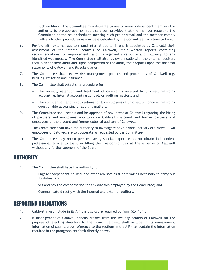such auditors. The Committee may delegate to one or more independent members the authority to pre–approve non–audit services, provided that the member report to the Committee at the next scheduled meeting such pre–approval and the member comply with such other procedures as may be established by the Committee from time to time.

- 6. Review with external auditors (and internal auditor if one is appointed by Caldwell) their assessment of the internal controls of Caldwell, their written reports containing recommendations for improvement, and management's response and follow-up to any identified weaknesses. The Committee shall also review annually with the external auditors their plan for their audit and, upon completion of the audit, their reports upon the financial statements of Caldwell and its subsidiaries.
- 7. The Committee shall review risk management policies and procedures of Caldwell (eg. hedging, litigation and insurance).
- 8. The Committee shall establish a procedure for:
	- The receipt, retention and treatment of complaints received by Caldwell regarding accounting, internal accounting controls or auditing matters; and
	- − The confidential, anonymous submission by employees of Caldwell of concerns regarding questionable accounting or auditing matters.
- 9. The Committee shall review and be apprised of any intent of Caldwell regarding the hiring of partners and employees who work on Caldwell's account and former partners and employees of the present and former external auditors of Caldwell.
- 10. The Committee shall have the authority to investigate any financial activity of Caldwell. All employees of Caldwell are to cooperate as requested by the Committee.
- 11. The Committee may retain persons having special expertise and/or obtain independent professional advice to assist in filling their responsibilities at the expense of Caldwell without any further approval of the Board.

#### AUTHORITY

- 1. The Committee shall have the authority to:
	- − Engage independent counsel and other advisors as it determines necessary to carry out its duties; and
	- − Set and pay the compensation for any advisors employed by the Committee; and
	- − Communicate directly with the internal and external auditors.

### REPORTING OBLIGATIONS

- 1. Caldwell must include in its AIF the disclosure required by Form 52-110F1.
- 2. If management of Caldwell solicits proxies from the security holders of Caldwell for the purpose of electing directors to the Board, Caldwell shall include in its management information circular a cross-reference to the sections in the AIF that contain the information required in the paragraph set forth directly above.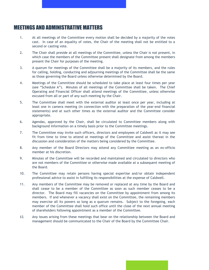#### MEETINGS AND ADMINISTRATIVE MATTERS

- 1. At all meetings of the Committee every motion shall be decided by a majority of the votes cast. In case of an equality of votes, the Chair of the meeting shall not be entitled to a second or casting vote.
- 2. The Chair shall preside at all meetings of the Committee, unless the Chair is not present, in which case the members of the Committee present shall designate from among the members present the Chair for purposes of the meeting.
- 3. A quorum for meetings of the Committee shall be a majority of its members, and the rules for calling, holding, conducting and adjourning meetings of the Committee shall be the same as those governing the Board unless otherwise determined by the Board.
- 4. Meetings of the Committee should be scheduled to take place at least four times per year (see "Schedule A"). Minutes of all meetings of the Committee shall be taken. The Chief Operating and Financial Officer shall attend meetings of the Committee, unless otherwise excused from all or part of any such meeting by the Chair.
- 5. The Committee shall meet with the external auditor at least once per year, including at least one in camera meeting (in connection with the preparation of the year-end financial statements) and at such other times as the external auditor and the Committee consider appropriate.
- 6. Agendas, approved by the Chair, shall be circulated to Committee members along with background information on a timely basis prior to the Committee meetings.
- 7. The Committee may invite such officers, directors and employees of Caldwell as it may see fit from time to time to attend at meetings of the Committee and assist thereat in the discussion and consideration of the matters being considered by the Committee.
- 8. Any member of the Board Directors may attend any Committee meeting as an ex-officio member at his discretion.
- 9. Minutes of the Committee will be recorded and maintained and circulated to directors who are not members of the Committee or otherwise made available at a subsequent meeting of the Board.
- 10. The Committee may retain persons having special expertise and/or obtain independent professional advice to assist in fulfilling its responsibilities at the expense of Caldwell.
- 11. Any members of the Committee may be removed or replaced at any time by the Board and shall cease to be a member of the Committee as soon as such member ceases to be a director. The Board may fill vacancies on the Committee by appointment from among its members. If and whenever a vacancy shall exist on the Committee, the remaining members may exercise all its powers so long as a quorum remains. Subject to the foregoing, each member of the Committee shall hold such office until the close of the next annual meeting of shareholders following appointment as a member of the Committee.
- *12.* Any issues arising from these meetings that bear on the relationship between the Board and management should be communicated to the Chair of the Board by the Committee Chair.